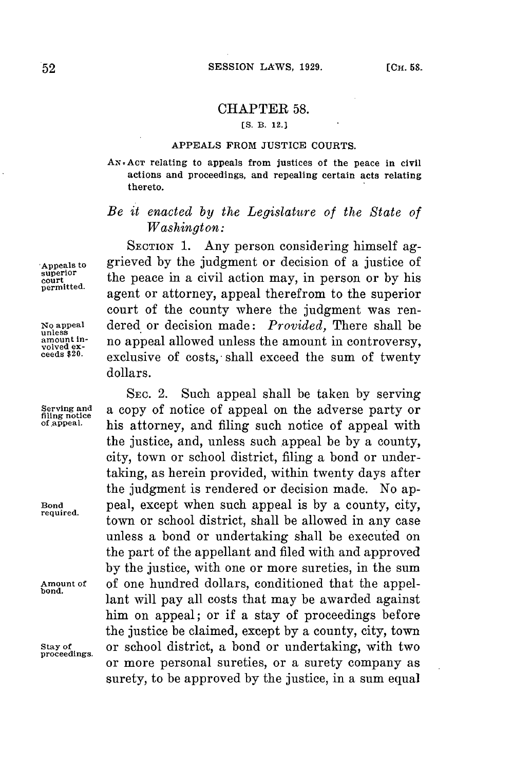## CHAPTER 58.

## **[S. B. 12.]**

## **APPEALS FROM JUSTICE COURTS.**

**AN.ACT relating to appeals from justices of the peace in civil actions and proceedings, and repealing certain acts relating thereto.**

## *Be it enacted by the Legislature of the State of Washington:*

**SECTION 1.** Any person considering himself ag-**Appeals to** grieved **by** the judgment or decision of a justice of superior the peace in a civil action may, in person or by his permitted. agent or attorney, appeal therefrom to the superior court of the county where the judgment was ren-**No appeal** dered or decision made: *Provided,* There shall be **unless** amount in-<br>volved ex-<br>ceeds \$20. exclusive of costs, shall exceed the sum of twenty dollars.

SEC. 2. Such appeal shall be taken **by** serving Serving and **a** copy of notice of appeal on the adverse party or filing notice **a** appeal. **of appeal,** his attorney, and filing such notice of appeal with the justice, and, unless such appeal be **by** a county, city, town or school district, filing a bond or undertaking, as herein provided, within twenty days after the judgment is rendered or decision made. No ap-**Bond** peal, except when such appeal is **by** a county, city, town or school district, shall be allowed in any case unless a bond or undertaking shall be executed on the part of the appellant and filed with and approved **by** the justice, with one or more sureties, in the sum Amount of of one hundred dollars, conditioned that the appellant will pay all costs that may be awarded against him on appeal; or if a stay of proceedings before the justice be claimed, except **by** a county, city, town **Stay of** or school district, a bond or undertaking, with two or more personal sureties, or a surety company as surety, to be approved **by** the justice, in a sum equal

**proceedings.**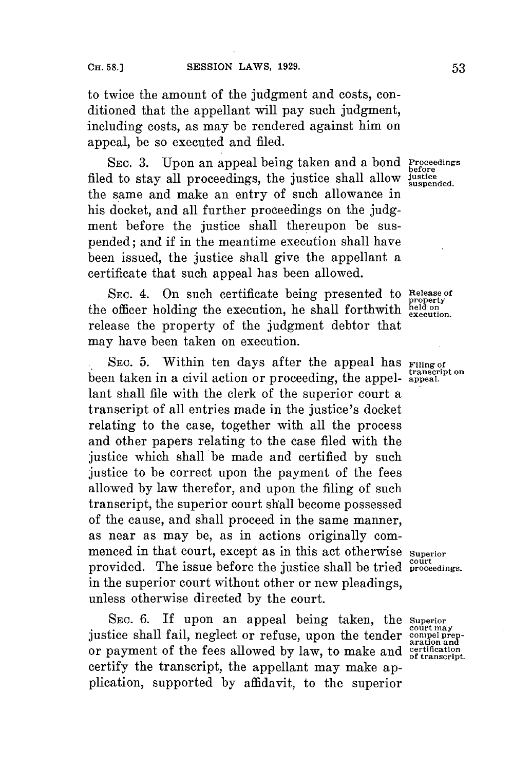to twice the amount of the judgment and costs, conditioned that the appellant will pay such judgment, including costs, as may be rendered against him on appeal, be so executed and filed.

**SEC. 3.** Upon an appeal being taken and a bond **Proceedings** filed to stay all proceedings, the justice shall allow **justice** the same and make an entry of such allowance in his docket, and all further proceedings on the **judg**ment before the justice shall thereupon be suspended; and if in the meantime execution shall have been issued, the justice shall give the appellant a certificate that such appeal has been allowed.

SEC. 4. On such certificate being presented to **Release of property**<br>the officer holding the execution, he shall forthwith held on<br>the execution release the property of the judgment debtor that may have been taken on execution.

SEC. 5. Within ten days after the appeal has **Filing of** been taken in a civil action or proceeding, the appel- *transcripted.* lant shall file with the clerk of the superior court a transcript of all entries made in the justice's docket relating to the case, together with all the process and other papers relating to the case filed with the justice which shall be made and certified **by** such justice to be correct upon the payment of the fees allowed **by** law therefor, and upon the filing of such transcript, the superior court shall become possessed of the cause, and shall proceed in the same manner, as near as may be, as in actions originally commenced in that court, except as in this act otherwise **Superior** provided. The issue before the justice shall be tried **proceedings**. in the superior court without other or new pleadings, unless otherwise directed **by** the court.

SEc. **6.** If upon an appeal being taken, the **superior court may** justice shall fail, neglect or refuse, upon the tender **compel prep-** aration and or payment of the fees allowed **by** law, to make and **certification of transcript.** certify the transcript, the appellant may make application, supported **by** affidavit, to the superior

**before suspended.**